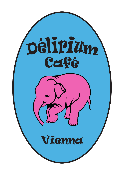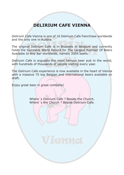### **DELIRIUM CAFE VIENNA**

Delirium Cafe Vienna is one of 16 Delirium Cafe franchises worldwide and the only one in Austria.

The original Delirium Cafe is in Brussels in Belgium and currently holds the Guinness World Record for The Largest Number Of Beers Available In Any Bar worldwide, namely 2004 beers.

Delirium Cafe is arguably the most famous beer pub in the world, with hundreds of thousands of people visiting every year.

The Delirium Cafe experience is now available in the heart of Vienna with a massive 75 top Belgian and international beers available on draft.

Enjoy great beer in great company!

Where´s Delirium Cafe ? Beside the Church. Where´s the Church ? Beside Delirium Cafe.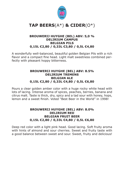

#### **BROUWERIJ HUYGHE (BEL) ABV: 5,0 % DELIRIUM CAMPUS BELGIAN PILS 0,15L €2,80 / 0,33L €3,80 / 0,5L €4,80**

A wonderfully well-balanced, beautiful golden Belgian Pils with a rich flavor and a compact fine head. Light malt sweetness combined perfectly with pleasant hoppy bitterness.

### **BROUWERIJ HUYGHE (BEL) ABV: 8.5% DELIRIUM TREMENS BELGIAN ALE 0,15L €2,80 / 0,33L €4,80 / 0,5L €6,80**

Pours a clear golden amber color with a huge rocky white head with lots of lacing. Intense aroma of spices, peaches, berries, banana and citrus malt. Taste is thick, dry, spicy and a tad sour with honey, hops, lemon and a sweet finish. Voted "Best Beer in the World" in 1998!

#### **BROUWERIJ HUYGHE (BEL) ABV: 8.0% DELIRIUM RED BELGIAN FRUIT BEER 0,15L €2,80 / 0,33L €4,80 / 0,5L €6,80**

Deep red color with a light pink head. Good lacing. Soft fruity aroma with hints of almond and sour cherries. Sweet and fruity taste with a good balance between sweet and sour. Sweet, fruity and delicious!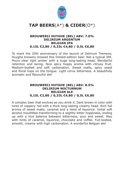

#### **BROUWERIJ HUYGHE (BEL) ABV: 7.0% DELIRIUM ARGENTUM BELGIAN IPA 0,15L €2,80 / 0,33L €4,80 / 0,5L €6,80**

To mark the 25th anniversary of the launch of Delirium Tremens, Huyghe brewery brewed this limited-edition beer. Not a typical IPA. Pours clear light amber with a huge long-lasting head. Wonderful retention and lacing. Nice spicy hoppy aroma with citrusy fruit. Medium-bodied and soft carbonation. Sweet malts, spicy yeast and floral hops on the tongue. Light citrus bitterness. A beautifully aromatic and flavourful ale!

#### **BROUWERIJ HUYGHE (BEL) ABV: 8.5% DELIRIUM NOCTURNUM BELGIAN ALE 0,15L €2,80 / 0,33L €4,80 / 0,5L €6,80**

A complex beer that evolves as you drink it. Dark brown in color with hints of coppery red with a thick long-lasting creamy head. Rich full aroma of sweet malts, caramel and a twist of liquorice. Initial soft alcohol mouthfeel transforming to a slightly bitter hoppiness, ending up with a nice balance between bitterness, sour and sweet. Also with hints of caramel, liquorice, chocolate and coffee. Full-bodied, smooth, creamy with high carbonation. A wonderful Belgian ale!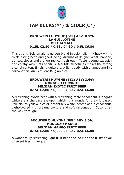

#### **BROUWERIJ HUYGHE (BEL) ABV: 8.5% LA GUILLOTINE BELGIAN ALE 0,15L €2,80 / 0,33L €4,80 / 0,5L €6,80**

This strong Belgian ale is golden blond in color, slighltly hazy with a thick lasting head and good lacing. Aromas of Belgian yeast, banana, apricot, cloves and orange zest come through. Taste is complex, spicy and earthy with hints of citrus. A subtle sweetness masks the strong alcohol content finishing quite dry. A light body with champagne-like carbonation. An excellent Belgian ale!

#### **BROUWERIJ HUYGHE (BEL) ABV: 3.6% MONGOZO COCONUT BELGIAN EXOTIC FRUIT BEER 0,15L €2,80 / 0,33L €4,80 / 0,5L €6,80**

A refreshing exotic beer with a refreshing taste of coconut. Mongozo white ale is the base ale upon which this wonderful brew is based. Pale cloudy yellow in color, essentially white. Aroma of funky coconut. Light-bodied with creamy texture and soft carbonation. Coconut all the way through.

#### **BROUWERIJ HUYGHE (BEL) ABV:3.6% MONGOZO MANGO BELGIAN MANGO FRUIT BEER 0,15L €2,80 / 0,33L €4,80 / 0,5L €6,80**

A wonderfully refreshing light fruit beer packed with the fruity flavor of sweet fresh mangos.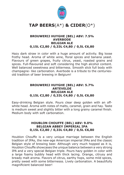

#### **BROUWERIJ HUYGHE (BEL) ABV: 7.5% AVERBODE BELGIAN ALE 0,15L €2,80 / 0,33L €4,80 / 0,5L €6,80**

Hazy dark straw in color with a huge amount of activity. Big loose frothy head. Aroma of white wine, floral spices and banana yeast. Flavours of green grapes, fruity citrus, yeast, roasted grains and spices. Full-flavoured and soft considering the high alcohol content. Well balanced sweetness and bitterness. Smooth slick full body with champagne- like carbonation. Averbode is a tribute to the centuriesold tradition of beer brewing in Belgium!

#### **BROUWERIJ HUYGHE (BEL) ABV: 5.7% ARTEVELDE BELGIAN ALE 0,15L €2,80 / 0,33L €4,80 / 0,5L €6,80**

Easy-drinking Belgian style. Pours clear deep golden with an offwhite head. Aroma with notes of malts, caramel, grain and hay. Taste is medium sweet and slightly bitter with a long grainy caramel finish. Medium body with soft carbonation.

#### **HOUBLON CHOUFFE (BEL) ABV: 9.0% BELGIAN ABBEY IMPERIAL IPA 0,15L €2,80 / 0,33L €4,80 / 0,5L €6,80**

Houblon Chouffe is a very unique marriage between the English tradition of IPAs, the new-age American imperial IPAs and the classic Belgian style of brewing beer. Although very much hopped as it is, Houblon Chouffe showcases the unique balance between a very strong IPA and a very special Belgian triple. Pours hazy golden in color with a large foamy bubbly head with thick lacing. Orange, citrusy and bready malt aroma. Flavors of citrus, earthy hops, some mild spices, pretty sweet with some bitternesss. Lively carbonation. A beautifully magnificient balanced beer!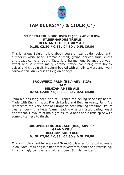

#### **ST BERNARDUS BROUWERIJ (BEL) ABV: 8.0% ST.BERNARDUS TRIPLE BELGIAN TRIPLE ABBEY ALE 0,15L €2,80 / 0,33L €4,80 / 0,5L €6,80**

This luxurious Belgian triple abbey pours a hazy golden colour with a medium-white head. Aromas of malt, grains, apricot, fruit, spices and yeast come through. Taste is a harmonious balance between sweet and sour with malty caramel toffee combining with hoppy spices and citrus fruit. Medium-bodied with an oily texture and lively carbonation. An exquisite Belgian abbey!

#### **BROUWERIJ PALM (BEL) ABV: 5.2% PALM BELGIAN AMBER ALE 0,15L €2,80 / 0,33L €3,80 / 0,5L €4,80**

Palm ale has long been one of Europes top-selling speciality beers. Made with English hops, French barley and Belgian yeast, Palm Ale represents the very best of European beer-making tradition. Pours clear amber with a huge foamy head. Aroma of malted barley, yeast and wheat. Flavours of malt, grains, mild hops and a little spice with some bitterness to finish.

#### **BROUWERIJ RODENBACH (BEL) ABV:6% GRAND CRU BELGIAN SOUR ALE 0,15L €2,80 / 0,33L €4,80 / 0,5L €6,80**

This is simply a world-class brew! Grand Cru is aged for up to two years in oak vats, resulting in a beer that is very tart, acidic and refreshing. An amazingly complex and vibrant beer. Simply wonderful!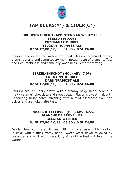

#### **BROUWERIJ DER TRAPPISTEN VAN WESTMALLE (BEL) ABV: 7.0% WESTMALLE DUBBEL BELGIAN TRAPPIST ALE 0,15L €2,80 / 0,33L €4,80 / 0,5L €6,80**

Pours a deep ruby red with a tan head. Massive aroma of toffee, plums, banana and some toasty malty notes. Taste of plums, toffee, cherries, maltiness and some dry woodiness. Simply amazing!

#### **BERKEL-ENSCHOT (HOL) ABV: 7,0% LA TRAPPE DUBBEL DARK TRAPPIST ALE 0,15L €2,80 / 0,33L €4,80 / 0,5L €6,80**

Pours a beautiful dark brown with a creamy beige head. Aroma is malty caramel, chocolate and sweet yeast. Flavor is sweet malt with underlying fruity notes, finishing with a mild bitterness from the spices and a smokey aftertaste.

#### **BRASSERIE LEFEBVRE (BEL) ABV: 4.5% BLANCHE DE BRUXELLES BELGIAN WITBIER 0,15L €2,80 / 0,33L €3,80 / 0,5L €4,80**

Belgian beer culture at its best. Slightly hazy, pale golden yellow in color with a thick frothy head. Sweet yeast flavor followed by coriander and fruit with nice acidity. One of the best Witbiers in the world!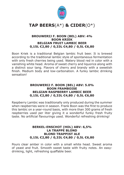

#### **BROUWERIJ F. BOON (BEL) ABV: 4% BOON KRIEK BELGIAN FRUIT LAMBIC BEER 0,15L €2,80 / 0,33L €4,80 / 0,5L €6,80**

Boon Kriek is a traditional Belgian lambic fruit beer. It is brewed according to the traditional lambic style of spontaneous fermentation with only fresh cherries being used. Watery blood red in color with a vanishing white head. Aroma of sweet cherry and liquorice along with a distinct sour tang. Flavors of cherry and brandy with a sweetish finish. Medium body and low-carbonation. A funky lambic drinking sensation!

#### **BROUWERIJ F. BOON (BEL) ABV: 5.0% BOON FRAMBOISE BELGIAN RASPBERRY LAMBIC BEER 0,15L €2,80 / 0,33L €4,80 / 0,5L €6,80**

Raspberry Lambic was traditionally only produced during the summer when raspberries were in season. Frank Boon was the first to produce this lambic on a year-round basis, with more than 300 grams of fresh raspberries used per liter giving it a wonderful funky fresh fruity taste. No artificial flavourings used. Wonderful refreshing drinking!

#### **BERKEL-ENSCHOT (HOL) ABV: 6,5% LA TRAPPE BLOND BLOND TRAPPIST ALE 0,15L €2,80 / 0,33L €4,80 / 0,5L €6,80**

Pours clear amber in color with a small white head. Sweet aroma of yeast and fruit. Smooth sweet taste with fruity notes. An easydrinking, light, refreshing quaffable beer.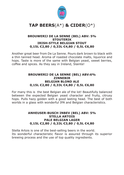

#### **BROUWERIJ DE LA SENNE (BEL) ABV: 5% STOUTERIK IRISH-STYLE BELGIAN STOUT 0,15L €2,80 / 0,33L €4,80 / 0,5L €6,80**

Another great beer from De La Senne. Pours dark brown to black with a thin tanned head. Aroma of roasted chocolate malts, liquorice and hops. Taste is more of the same with Belgian yeast, sweet berries, coffee and spices. As they say in Ireland, Slainte!

### **BROUWERIJ DE LA SENNE (BEL) ABV:6% ZINNEBIR BELGIAN BLOND ALE 0,15L €2,80 / 0,33L €4,80 / 0,5L €6,80**

For many this is the best Belgian ale of the lot! Beautifully balanced between the expected Belgian yeast character and fruity, citrusy hops. Pulls hazy golden with a good lasting head. The best of both worlds in a glass with wonderful IPA and Belgian characteristics.

#### **ANHEUSER-BUSCH INBEV (BEL) ABV: 5% STELLA ARTOIS PALE BELGIAN LAGER 0,15L €2,80 / 0,33L €3,80 / 0,5L €4,80**

Stella Artois is one of the best-selling beers in the world. Its wonderful characteristic flavor is assured through its superior brewing process and the use of top quality ingredients.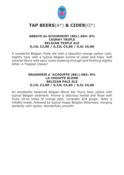

#### **ABBAYE de SCOURMONT (BEL) ABV: 8% CHIMAY TRIPLE BELGIAN TRIPLE ALE 0,15L €2,80 / 0,33L €4,80 / 0,5L €6,80**

A wonderful Belgian Triple Ale with a beautiful orange yellow color, slightly hazy with a typical Belgian aroma of yeast and hops. Soft caramel flavor with spicy notes breaking through and finishing slightly bitter. A Trappist Classic!

### **BRASSERIE d´ACHOUFFE (BEL) ABV: 8% LA CHOUFFE BLOND BELGIAN PALE ALE 0,15L €2,80 / 0,33L €4,80 / 0,5L €6,80**

An excellently balanced Belgian Blond Ale. Pours hazy yellow with typical Belgian sediment. Aroma is delicious herbal and floral with fruity citrus notes of orange peel, coriander and ginger. Taste is initially sweet, followed by typical hoppy Belgian bitterness, merging perfectly with spices. Wonderfully smooth!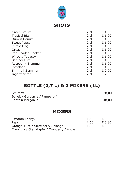

### **SHOTS**

| <b>Green Smurf</b>      | $2$ cl | € 1,00 |
|-------------------------|--------|--------|
| <b>Tropical Bitch</b>   | $2$ cl | € 1,00 |
| <b>Dunkin Donuts</b>    | $2$ cl | € 1,00 |
| <b>Sweet Popcorn</b>    | $2$ cl | € 1,00 |
| <b>Purple Frog</b>      | $2$ cl | € 1,00 |
| Orgasm                  | $2$ cl | € 1,00 |
| Red Headed Hooker       | $2$ cl | € 1,00 |
| <b>Whacky Tobaccy</b>   | $2$ cl | € 1,00 |
| <b>Berliner Luft</b>    | $2$ cl | € 1,00 |
| Raspberry Slammer       | $2$ cl | € 1,00 |
| Piccolada               | $2$ cl | € 1,00 |
| <b>Smirnoff Slammer</b> | $2$ cl | € 2,00 |
| Jägermeister            | $2$ cl | € 2,00 |
|                         |        |        |

# **BOTTLE (0,7 L) & 2 MIXERS (1L)**

| Smirnoff                       | € 38,00          |
|--------------------------------|------------------|
| Bulleit / Gordon's / Pampero / |                  |
| Captain Morgan's               | $\epsilon$ 48,00 |

### **MIXERS**

| Lizzaran Energy                            | 1,50 L € 3,80 |                 |
|--------------------------------------------|---------------|-----------------|
| Pepsi                                      | 1,50 L € 3,80 |                 |
| Orange Juice / Strawberry / Mango          | 1,00 L        | $\epsilon$ 3,80 |
| Maracuja / Granatapfel / Cranberry / Apple |               |                 |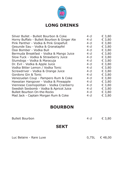

## **LONG DRINKS**

| Silver Bullet - Bulleit Bourbon & Coke       | 4 cl | € 3,80 |
|----------------------------------------------|------|--------|
| Horny Buffalo - Bulleit Bourbon & Ginger Ale | 4 cl | € 3,80 |
| Pink Panther - Vodka & Pink Grapefuit        | 4 cl | € 3,80 |
| Gesunde Sau - Vodka & Granatapfel            | 4 cl | € 3,80 |
| Ossi Bomber - Vodka Bull                     | 4 cl | € 3,80 |
| Bermuda Breakfast - Vodka & Mango Juice      | 4 cl | € 3,80 |
| Slow Fuck - Vodka & Strawberry Juice         | 4 cl | € 3,80 |
| Slumdogs - Vodka & Maracuja                  | 4 cl | € 3,80 |
| Dr. Evil - Vodka & Apple Juice               | 4 cl | € 3,80 |
| Vodka Bitter Lemon / Vodka Tonic             | 4 cl | € 3,80 |
| Screwdriver - Vodka & Orange Juice           | 4 cl | € 3,80 |
| Gordons Gin & Tonic                          | 4 cl | € 3,80 |
| Venezuelan Coup - Pampero Rum & Coke         | 4 cl | € 3,80 |
| Hawaiian Hangover - Vodka & Pineapple        | 4 cl | € 3,80 |
| Viennese Cosmopolitan - Vodka Cranberry      | 4 cl | € 3,80 |
| Swedish Sexbomb - Vodka & Apricot Juice      | 4 cl | € 3,80 |
| <b>Bulleit Bourbon On-the-Rocks</b>          | 4 cl | € 3,80 |
| Mad Jack - Captain Morgan Rum & Coke         | 4 cl | € 3,80 |

### **BOURBON**

| <b>Bulleit Bourbon</b>  | 4 cl | € 3,80          |
|-------------------------|------|-----------------|
| <b>SEKT</b>             |      |                 |
| Luc Belaire - Rare Luxe |      | $0,75L$ € 48,00 |